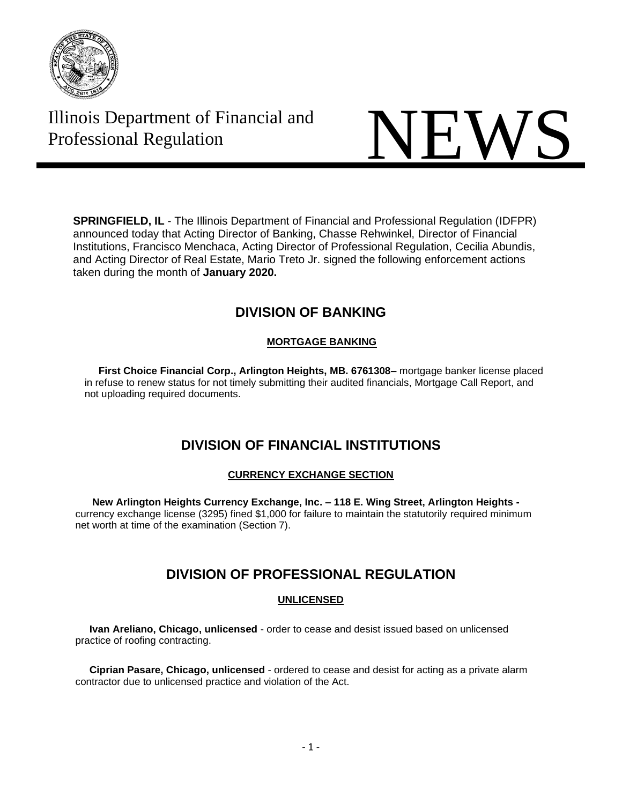

# Illinois Department of Financial and



**SPRINGFIELD, IL** - The Illinois Department of Financial and Professional Regulation (IDFPR) announced today that Acting Director of Banking, Chasse Rehwinkel, Director of Financial Institutions, Francisco Menchaca, Acting Director of Professional Regulation, Cecilia Abundis, and Acting Director of Real Estate, Mario Treto Jr. signed the following enforcement actions taken during the month of **January 2020.**

# **DIVISION OF BANKING**

# **MORTGAGE BANKING**

 **First Choice Financial Corp., Arlington Heights, MB. 6761308–** mortgage banker license placed in refuse to renew status for not timely submitting their audited financials, Mortgage Call Report, and not uploading required documents.

# **DIVISION OF FINANCIAL INSTITUTIONS**

# **CURRENCY EXCHANGE SECTION**

 **New Arlington Heights Currency Exchange, Inc. – 118 E. Wing Street, Arlington Heights**  currency exchange license (3295) fined \$1,000 for failure to maintain the statutorily required minimum net worth at time of the examination (Section 7).

# **DIVISION OF PROFESSIONAL REGULATION**

# **UNLICENSED**

 **Ivan Areliano, Chicago, unlicensed** - order to cease and desist issued based on unlicensed practice of roofing contracting.

 **Ciprian Pasare, Chicago, unlicensed** - ordered to cease and desist for acting as a private alarm contractor due to unlicensed practice and violation of the Act.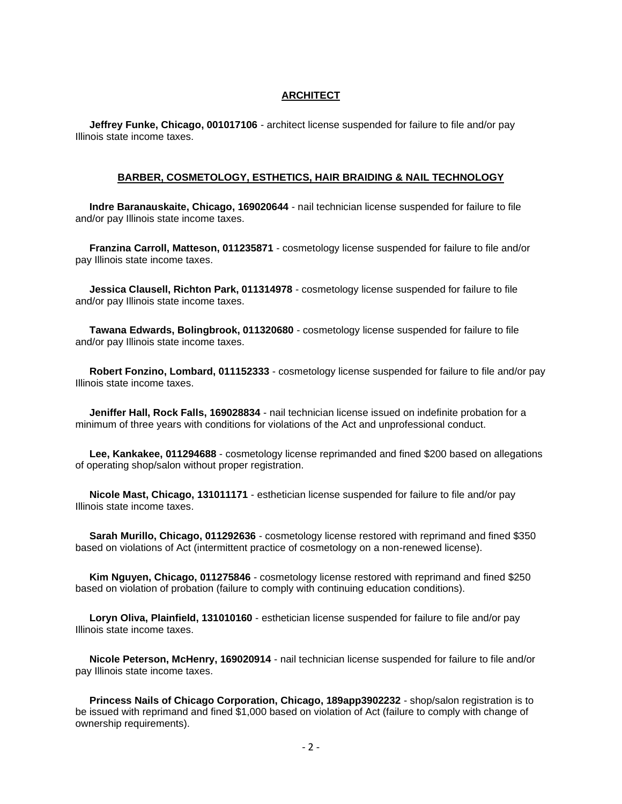# **ARCHITECT**

 **Jeffrey Funke, Chicago, 001017106** - architect license suspended for failure to file and/or pay Illinois state income taxes.

#### **BARBER, COSMETOLOGY, ESTHETICS, HAIR BRAIDING & NAIL TECHNOLOGY**

 **Indre Baranauskaite, Chicago, 169020644** - nail technician license suspended for failure to file and/or pay Illinois state income taxes.

 **Franzina Carroll, Matteson, 011235871** - cosmetology license suspended for failure to file and/or pay Illinois state income taxes.

 **Jessica Clausell, Richton Park, 011314978** - cosmetology license suspended for failure to file and/or pay Illinois state income taxes.

 **Tawana Edwards, Bolingbrook, 011320680** - cosmetology license suspended for failure to file and/or pay Illinois state income taxes.

 **Robert Fonzino, Lombard, 011152333** - cosmetology license suspended for failure to file and/or pay Illinois state income taxes.

 **Jeniffer Hall, Rock Falls, 169028834** - nail technician license issued on indefinite probation for a minimum of three years with conditions for violations of the Act and unprofessional conduct.

 **Lee, Kankakee, 011294688** - cosmetology license reprimanded and fined \$200 based on allegations of operating shop/salon without proper registration.

 **Nicole Mast, Chicago, 131011171** - esthetician license suspended for failure to file and/or pay Illinois state income taxes.

 **Sarah Murillo, Chicago, 011292636** - cosmetology license restored with reprimand and fined \$350 based on violations of Act (intermittent practice of cosmetology on a non-renewed license).

 **Kim Nguyen, Chicago, 011275846** - cosmetology license restored with reprimand and fined \$250 based on violation of probation (failure to comply with continuing education conditions).

 **Loryn Oliva, Plainfield, 131010160** - esthetician license suspended for failure to file and/or pay Illinois state income taxes.

 **Nicole Peterson, McHenry, 169020914** - nail technician license suspended for failure to file and/or pay Illinois state income taxes.

 **Princess Nails of Chicago Corporation, Chicago, 189app3902232** - shop/salon registration is to be issued with reprimand and fined \$1,000 based on violation of Act (failure to comply with change of ownership requirements).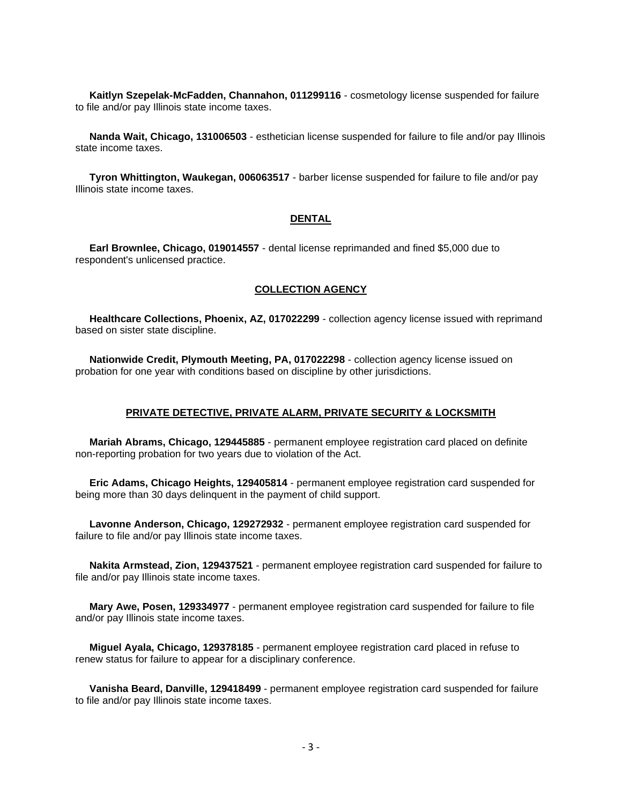**Kaitlyn Szepelak-McFadden, Channahon, 011299116** - cosmetology license suspended for failure to file and/or pay Illinois state income taxes.

 **Nanda Wait, Chicago, 131006503** - esthetician license suspended for failure to file and/or pay Illinois state income taxes.

 **Tyron Whittington, Waukegan, 006063517** - barber license suspended for failure to file and/or pay Illinois state income taxes.

## **DENTAL**

 **Earl Brownlee, Chicago, 019014557** - dental license reprimanded and fined \$5,000 due to respondent's unlicensed practice.

# **COLLECTION AGENCY**

 **Healthcare Collections, Phoenix, AZ, 017022299** - collection agency license issued with reprimand based on sister state discipline.

 **Nationwide Credit, Plymouth Meeting, PA, 017022298** - collection agency license issued on probation for one year with conditions based on discipline by other jurisdictions.

# **PRIVATE DETECTIVE, PRIVATE ALARM, PRIVATE SECURITY & LOCKSMITH**

 **Mariah Abrams, Chicago, 129445885** - permanent employee registration card placed on definite non-reporting probation for two years due to violation of the Act.

 **Eric Adams, Chicago Heights, 129405814** - permanent employee registration card suspended for being more than 30 days delinquent in the payment of child support.

 **Lavonne Anderson, Chicago, 129272932** - permanent employee registration card suspended for failure to file and/or pay Illinois state income taxes.

 **Nakita Armstead, Zion, 129437521** - permanent employee registration card suspended for failure to file and/or pay Illinois state income taxes.

 **Mary Awe, Posen, 129334977** - permanent employee registration card suspended for failure to file and/or pay Illinois state income taxes.

 **Miguel Ayala, Chicago, 129378185** - permanent employee registration card placed in refuse to renew status for failure to appear for a disciplinary conference.

 **Vanisha Beard, Danville, 129418499** - permanent employee registration card suspended for failure to file and/or pay Illinois state income taxes.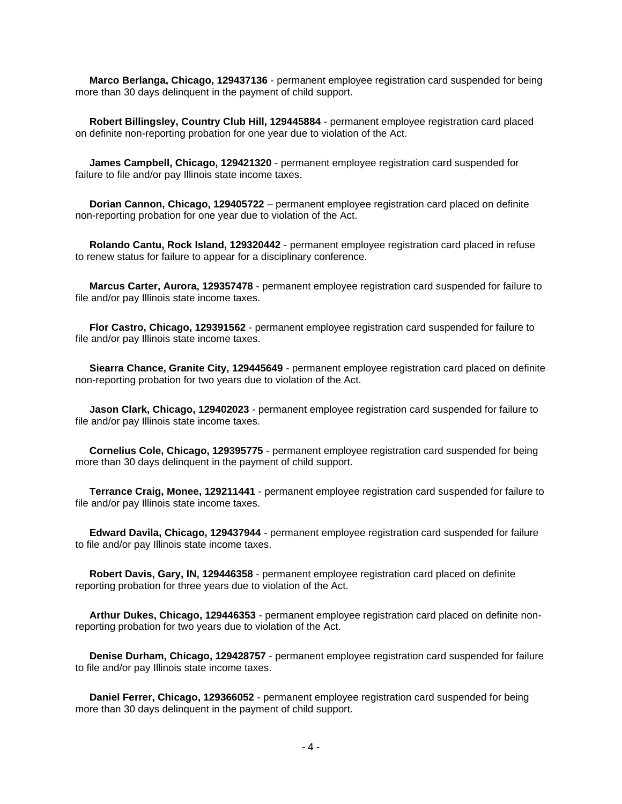**Marco Berlanga, Chicago, 129437136** - permanent employee registration card suspended for being more than 30 days delinquent in the payment of child support.

 **Robert Billingsley, Country Club Hill, 129445884** - permanent employee registration card placed on definite non-reporting probation for one year due to violation of the Act.

 **James Campbell, Chicago, 129421320** - permanent employee registration card suspended for failure to file and/or pay Illinois state income taxes.

 **Dorian Cannon, Chicago, 129405722** – permanent employee registration card placed on definite non-reporting probation for one year due to violation of the Act.

 **Rolando Cantu, Rock Island, 129320442** - permanent employee registration card placed in refuse to renew status for failure to appear for a disciplinary conference.

 **Marcus Carter, Aurora, 129357478** - permanent employee registration card suspended for failure to file and/or pay Illinois state income taxes.

 **Flor Castro, Chicago, 129391562** - permanent employee registration card suspended for failure to file and/or pay Illinois state income taxes.

 **Siearra Chance, Granite City, 129445649** - permanent employee registration card placed on definite non-reporting probation for two years due to violation of the Act.

 **Jason Clark, Chicago, 129402023** - permanent employee registration card suspended for failure to file and/or pay Illinois state income taxes.

 **Cornelius Cole, Chicago, 129395775** - permanent employee registration card suspended for being more than 30 days delinquent in the payment of child support.

 **Terrance Craig, Monee, 129211441** - permanent employee registration card suspended for failure to file and/or pay Illinois state income taxes.

 **Edward Davila, Chicago, 129437944** - permanent employee registration card suspended for failure to file and/or pay Illinois state income taxes.

 **Robert Davis, Gary, IN, 129446358** - permanent employee registration card placed on definite reporting probation for three years due to violation of the Act.

 **Arthur Dukes, Chicago, 129446353** - permanent employee registration card placed on definite nonreporting probation for two years due to violation of the Act.

 **Denise Durham, Chicago, 129428757** - permanent employee registration card suspended for failure to file and/or pay Illinois state income taxes.

 **Daniel Ferrer, Chicago, 129366052** - permanent employee registration card suspended for being more than 30 days delinquent in the payment of child support.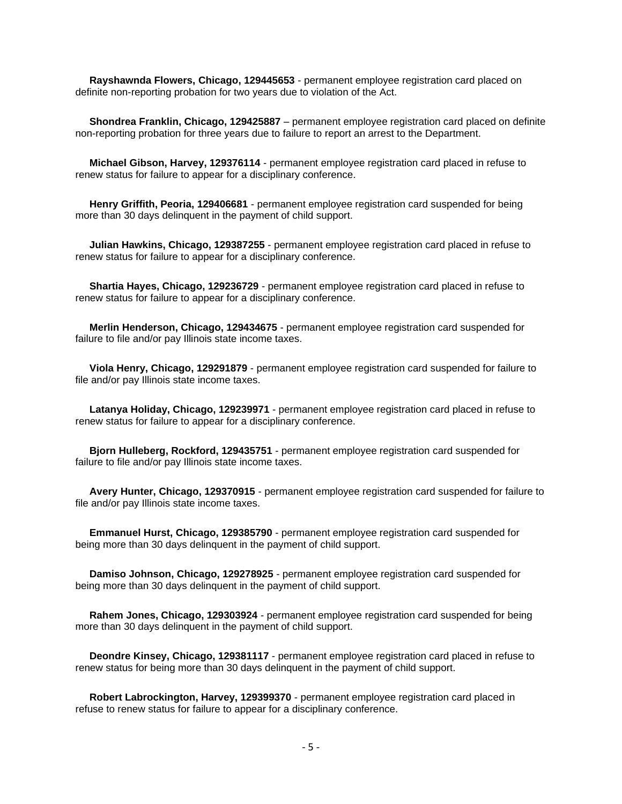**Rayshawnda Flowers, Chicago, 129445653** - permanent employee registration card placed on definite non-reporting probation for two years due to violation of the Act.

 **Shondrea Franklin, Chicago, 129425887** – permanent employee registration card placed on definite non-reporting probation for three years due to failure to report an arrest to the Department.

 **Michael Gibson, Harvey, 129376114** - permanent employee registration card placed in refuse to renew status for failure to appear for a disciplinary conference.

 **Henry Griffith, Peoria, 129406681** - permanent employee registration card suspended for being more than 30 days delinquent in the payment of child support.

 **Julian Hawkins, Chicago, 129387255** - permanent employee registration card placed in refuse to renew status for failure to appear for a disciplinary conference.

 **Shartia Hayes, Chicago, 129236729** - permanent employee registration card placed in refuse to renew status for failure to appear for a disciplinary conference.

 **Merlin Henderson, Chicago, 129434675** - permanent employee registration card suspended for failure to file and/or pay Illinois state income taxes.

 **Viola Henry, Chicago, 129291879** - permanent employee registration card suspended for failure to file and/or pay Illinois state income taxes.

 **Latanya Holiday, Chicago, 129239971** - permanent employee registration card placed in refuse to renew status for failure to appear for a disciplinary conference.

 **Bjorn Hulleberg, Rockford, 129435751** - permanent employee registration card suspended for failure to file and/or pay Illinois state income taxes.

 **Avery Hunter, Chicago, 129370915** - permanent employee registration card suspended for failure to file and/or pay Illinois state income taxes.

 **Emmanuel Hurst, Chicago, 129385790** - permanent employee registration card suspended for being more than 30 days delinquent in the payment of child support.

 **Damiso Johnson, Chicago, 129278925** - permanent employee registration card suspended for being more than 30 days delinquent in the payment of child support.

 **Rahem Jones, Chicago, 129303924** - permanent employee registration card suspended for being more than 30 days delinquent in the payment of child support.

 **Deondre Kinsey, Chicago, 129381117** - permanent employee registration card placed in refuse to renew status for being more than 30 days delinquent in the payment of child support.

 **Robert Labrockington, Harvey, 129399370** - permanent employee registration card placed in refuse to renew status for failure to appear for a disciplinary conference.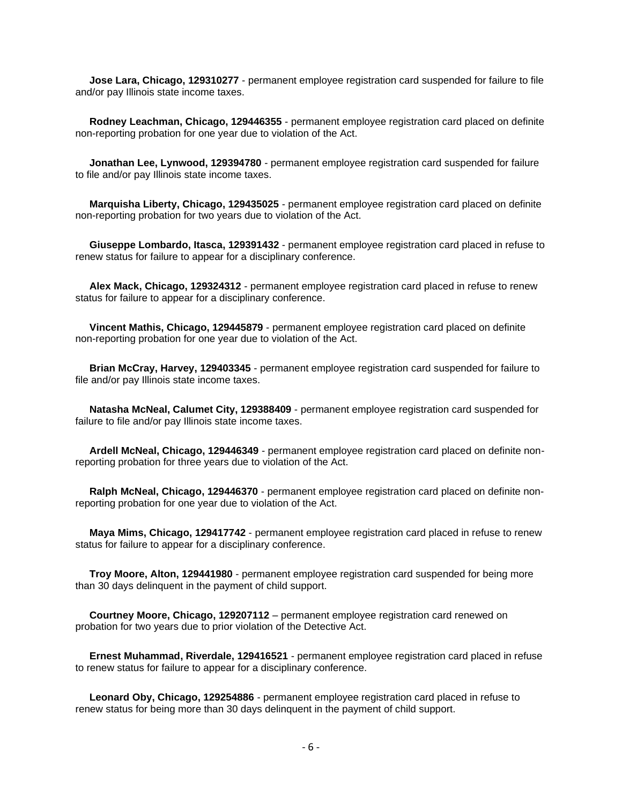**Jose Lara, Chicago, 129310277** - permanent employee registration card suspended for failure to file and/or pay Illinois state income taxes.

 **Rodney Leachman, Chicago, 129446355** - permanent employee registration card placed on definite non-reporting probation for one year due to violation of the Act.

 **Jonathan Lee, Lynwood, 129394780** - permanent employee registration card suspended for failure to file and/or pay Illinois state income taxes.

 **Marquisha Liberty, Chicago, 129435025** - permanent employee registration card placed on definite non-reporting probation for two years due to violation of the Act.

 **Giuseppe Lombardo, Itasca, 129391432** - permanent employee registration card placed in refuse to renew status for failure to appear for a disciplinary conference.

 **Alex Mack, Chicago, 129324312** - permanent employee registration card placed in refuse to renew status for failure to appear for a disciplinary conference.

 **Vincent Mathis, Chicago, 129445879** - permanent employee registration card placed on definite non-reporting probation for one year due to violation of the Act.

 **Brian McCray, Harvey, 129403345** - permanent employee registration card suspended for failure to file and/or pay Illinois state income taxes.

 **Natasha McNeal, Calumet City, 129388409** - permanent employee registration card suspended for failure to file and/or pay Illinois state income taxes.

 **Ardell McNeal, Chicago, 129446349** - permanent employee registration card placed on definite nonreporting probation for three years due to violation of the Act.

 **Ralph McNeal, Chicago, 129446370** - permanent employee registration card placed on definite nonreporting probation for one year due to violation of the Act.

 **Maya Mims, Chicago, 129417742** - permanent employee registration card placed in refuse to renew status for failure to appear for a disciplinary conference.

 **Troy Moore, Alton, 129441980** - permanent employee registration card suspended for being more than 30 days delinquent in the payment of child support.

 **Courtney Moore, Chicago, 129207112** – permanent employee registration card renewed on probation for two years due to prior violation of the Detective Act.

 **Ernest Muhammad, Riverdale, 129416521** - permanent employee registration card placed in refuse to renew status for failure to appear for a disciplinary conference.

 **Leonard Oby, Chicago, 129254886** - permanent employee registration card placed in refuse to renew status for being more than 30 days delinquent in the payment of child support.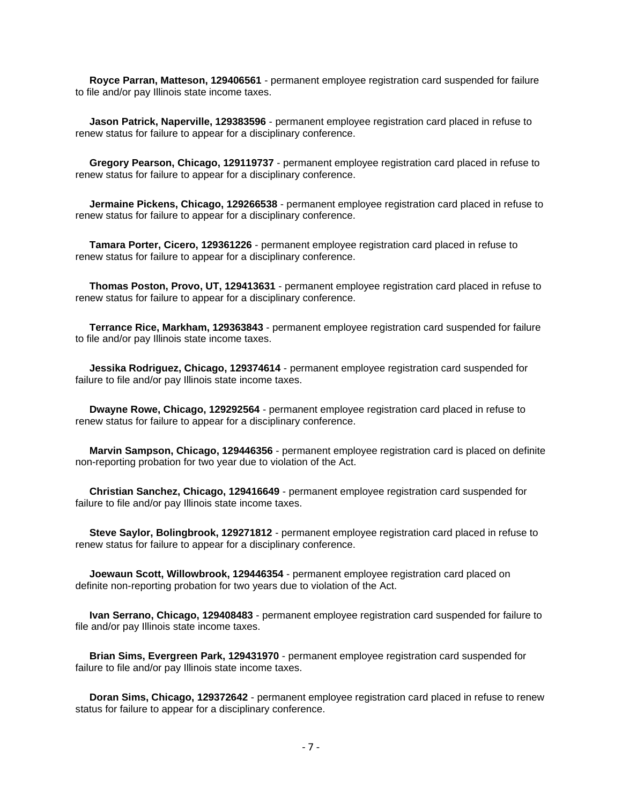**Royce Parran, Matteson, 129406561** - permanent employee registration card suspended for failure to file and/or pay Illinois state income taxes.

 **Jason Patrick, Naperville, 129383596** - permanent employee registration card placed in refuse to renew status for failure to appear for a disciplinary conference.

 **Gregory Pearson, Chicago, 129119737** - permanent employee registration card placed in refuse to renew status for failure to appear for a disciplinary conference.

 **Jermaine Pickens, Chicago, 129266538** - permanent employee registration card placed in refuse to renew status for failure to appear for a disciplinary conference.

 **Tamara Porter, Cicero, 129361226** - permanent employee registration card placed in refuse to renew status for failure to appear for a disciplinary conference.

 **Thomas Poston, Provo, UT, 129413631** - permanent employee registration card placed in refuse to renew status for failure to appear for a disciplinary conference.

 **Terrance Rice, Markham, 129363843** - permanent employee registration card suspended for failure to file and/or pay Illinois state income taxes.

 **Jessika Rodriguez, Chicago, 129374614** - permanent employee registration card suspended for failure to file and/or pay Illinois state income taxes.

 **Dwayne Rowe, Chicago, 129292564** - permanent employee registration card placed in refuse to renew status for failure to appear for a disciplinary conference.

 **Marvin Sampson, Chicago, 129446356** - permanent employee registration card is placed on definite non-reporting probation for two year due to violation of the Act.

 **Christian Sanchez, Chicago, 129416649** - permanent employee registration card suspended for failure to file and/or pay Illinois state income taxes.

 **Steve Saylor, Bolingbrook, 129271812** - permanent employee registration card placed in refuse to renew status for failure to appear for a disciplinary conference.

 **Joewaun Scott, Willowbrook, 129446354** - permanent employee registration card placed on definite non-reporting probation for two years due to violation of the Act.

 **Ivan Serrano, Chicago, 129408483** - permanent employee registration card suspended for failure to file and/or pay Illinois state income taxes.

 **Brian Sims, Evergreen Park, 129431970** - permanent employee registration card suspended for failure to file and/or pay Illinois state income taxes.

 **Doran Sims, Chicago, 129372642** - permanent employee registration card placed in refuse to renew status for failure to appear for a disciplinary conference.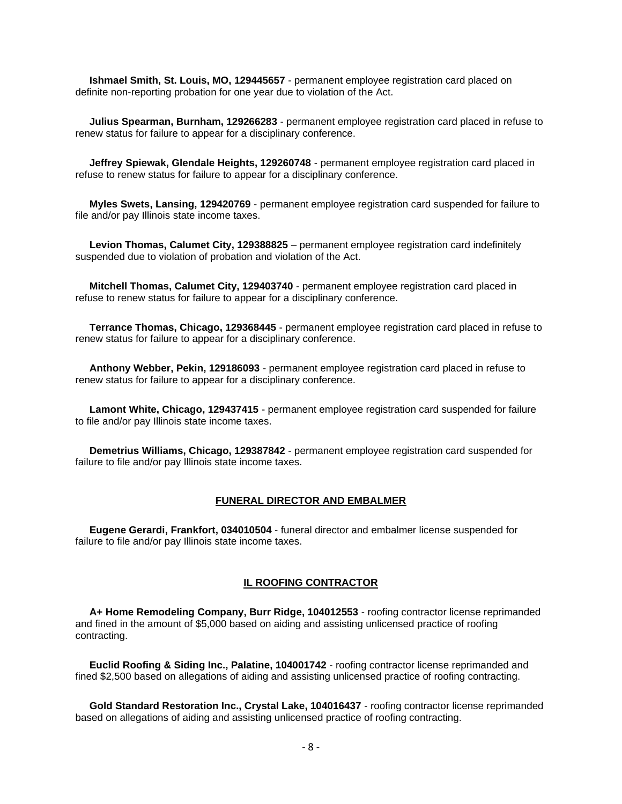**Ishmael Smith, St. Louis, MO, 129445657** - permanent employee registration card placed on definite non-reporting probation for one year due to violation of the Act.

 **Julius Spearman, Burnham, 129266283** - permanent employee registration card placed in refuse to renew status for failure to appear for a disciplinary conference.

 **Jeffrey Spiewak, Glendale Heights, 129260748** - permanent employee registration card placed in refuse to renew status for failure to appear for a disciplinary conference.

 **Myles Swets, Lansing, 129420769** - permanent employee registration card suspended for failure to file and/or pay Illinois state income taxes.

 **Levion Thomas, Calumet City, 129388825** – permanent employee registration card indefinitely suspended due to violation of probation and violation of the Act.

 **Mitchell Thomas, Calumet City, 129403740** - permanent employee registration card placed in refuse to renew status for failure to appear for a disciplinary conference.

 **Terrance Thomas, Chicago, 129368445** - permanent employee registration card placed in refuse to renew status for failure to appear for a disciplinary conference.

 **Anthony Webber, Pekin, 129186093** - permanent employee registration card placed in refuse to renew status for failure to appear for a disciplinary conference.

 **Lamont White, Chicago, 129437415** - permanent employee registration card suspended for failure to file and/or pay Illinois state income taxes.

 **Demetrius Williams, Chicago, 129387842** - permanent employee registration card suspended for failure to file and/or pay Illinois state income taxes.

#### **FUNERAL DIRECTOR AND EMBALMER**

 **Eugene Gerardi, Frankfort, 034010504** - funeral director and embalmer license suspended for failure to file and/or pay Illinois state income taxes.

# **IL ROOFING CONTRACTOR**

 **A+ Home Remodeling Company, Burr Ridge, 104012553** - roofing contractor license reprimanded and fined in the amount of \$5,000 based on aiding and assisting unlicensed practice of roofing contracting.

 **Euclid Roofing & Siding Inc., Palatine, 104001742** - roofing contractor license reprimanded and fined \$2,500 based on allegations of aiding and assisting unlicensed practice of roofing contracting.

 **Gold Standard Restoration Inc., Crystal Lake, 104016437** - roofing contractor license reprimanded based on allegations of aiding and assisting unlicensed practice of roofing contracting.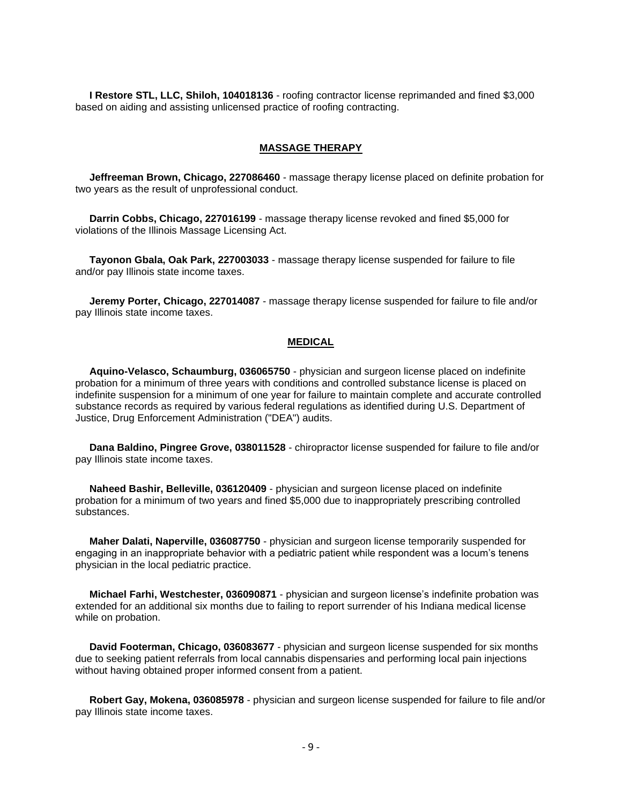**I Restore STL, LLC, Shiloh, 104018136** - roofing contractor license reprimanded and fined \$3,000 based on aiding and assisting unlicensed practice of roofing contracting.

# **MASSAGE THERAPY**

 **Jeffreeman Brown, Chicago, 227086460** - massage therapy license placed on definite probation for two years as the result of unprofessional conduct.

 **Darrin Cobbs, Chicago, 227016199** - massage therapy license revoked and fined \$5,000 for violations of the Illinois Massage Licensing Act.

 **Tayonon Gbala, Oak Park, 227003033** - massage therapy license suspended for failure to file and/or pay Illinois state income taxes.

 **Jeremy Porter, Chicago, 227014087** - massage therapy license suspended for failure to file and/or pay Illinois state income taxes.

# **MEDICAL**

 **Aquino-Velasco, Schaumburg, 036065750** - physician and surgeon license placed on indefinite probation for a minimum of three years with conditions and controlled substance license is placed on indefinite suspension for a minimum of one year for failure to maintain complete and accurate controlled substance records as required by various federal regulations as identified during U.S. Department of Justice, Drug Enforcement Administration ("DEA") audits.

 **Dana Baldino, Pingree Grove, 038011528** - chiropractor license suspended for failure to file and/or pay Illinois state income taxes.

 **Naheed Bashir, Belleville, 036120409** - physician and surgeon license placed on indefinite probation for a minimum of two years and fined \$5,000 due to inappropriately prescribing controlled substances.

 **Maher Dalati, Naperville, 036087750** - physician and surgeon license temporarily suspended for engaging in an inappropriate behavior with a pediatric patient while respondent was a locum's tenens physician in the local pediatric practice.

 **Michael Farhi, Westchester, 036090871** - physician and surgeon license's indefinite probation was extended for an additional six months due to failing to report surrender of his Indiana medical license while on probation.

 **David Footerman, Chicago, 036083677** - physician and surgeon license suspended for six months due to seeking patient referrals from local cannabis dispensaries and performing local pain injections without having obtained proper informed consent from a patient.

 **Robert Gay, Mokena, 036085978** - physician and surgeon license suspended for failure to file and/or pay Illinois state income taxes.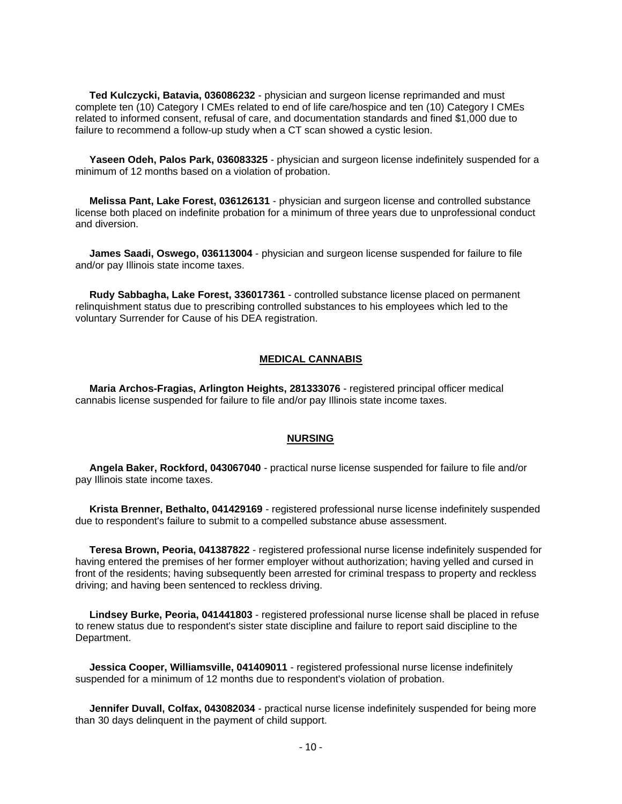**Ted Kulczycki, Batavia, 036086232** - physician and surgeon license reprimanded and must complete ten (10) Category I CMEs related to end of life care/hospice and ten (10) Category I CMEs related to informed consent, refusal of care, and documentation standards and fined \$1,000 due to failure to recommend a follow-up study when a CT scan showed a cystic lesion.

 **Yaseen Odeh, Palos Park, 036083325** - physician and surgeon license indefinitely suspended for a minimum of 12 months based on a violation of probation.

 **Melissa Pant, Lake Forest, 036126131** - physician and surgeon license and controlled substance license both placed on indefinite probation for a minimum of three years due to unprofessional conduct and diversion.

 **James Saadi, Oswego, 036113004** - physician and surgeon license suspended for failure to file and/or pay Illinois state income taxes.

 **Rudy Sabbagha, Lake Forest, 336017361** - controlled substance license placed on permanent relinquishment status due to prescribing controlled substances to his employees which led to the voluntary Surrender for Cause of his DEA registration.

# **MEDICAL CANNABIS**

 **Maria Archos-Fragias, Arlington Heights, 281333076** - registered principal officer medical cannabis license suspended for failure to file and/or pay Illinois state income taxes.

# **NURSING**

 **Angela Baker, Rockford, 043067040** - practical nurse license suspended for failure to file and/or pay Illinois state income taxes.

 **Krista Brenner, Bethalto, 041429169** - registered professional nurse license indefinitely suspended due to respondent's failure to submit to a compelled substance abuse assessment.

 **Teresa Brown, Peoria, 041387822** - registered professional nurse license indefinitely suspended for having entered the premises of her former employer without authorization; having yelled and cursed in front of the residents; having subsequently been arrested for criminal trespass to property and reckless driving; and having been sentenced to reckless driving.

 **Lindsey Burke, Peoria, 041441803** - registered professional nurse license shall be placed in refuse to renew status due to respondent's sister state discipline and failure to report said discipline to the Department.

 **Jessica Cooper, Williamsville, 041409011** - registered professional nurse license indefinitely suspended for a minimum of 12 months due to respondent's violation of probation.

 **Jennifer Duvall, Colfax, 043082034** - practical nurse license indefinitely suspended for being more than 30 days delinquent in the payment of child support.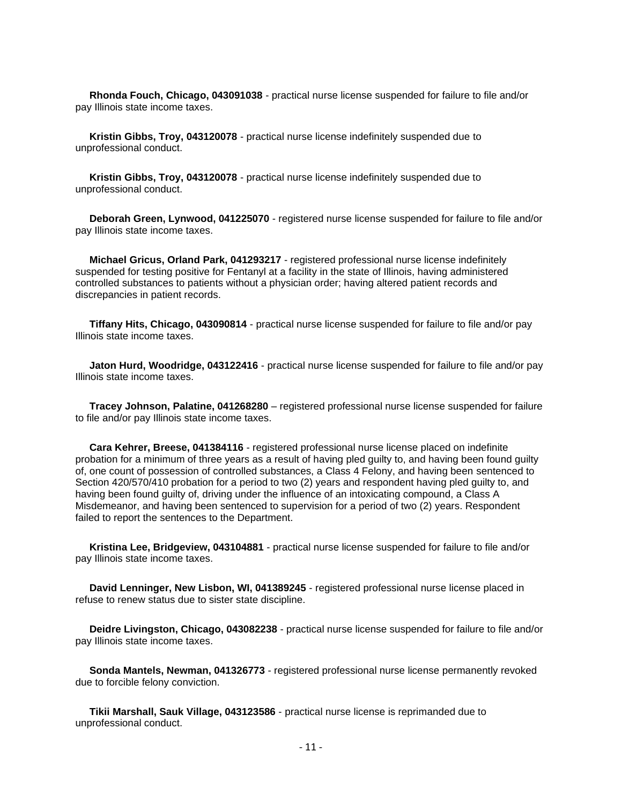**Rhonda Fouch, Chicago, 043091038** - practical nurse license suspended for failure to file and/or pay Illinois state income taxes.

 **Kristin Gibbs, Troy, 043120078** - practical nurse license indefinitely suspended due to unprofessional conduct.

 **Kristin Gibbs, Troy, 043120078** - practical nurse license indefinitely suspended due to unprofessional conduct.

 **Deborah Green, Lynwood, 041225070** - registered nurse license suspended for failure to file and/or pay Illinois state income taxes.

 **Michael Gricus, Orland Park, 041293217** - registered professional nurse license indefinitely suspended for testing positive for Fentanyl at a facility in the state of Illinois, having administered controlled substances to patients without a physician order; having altered patient records and discrepancies in patient records.

 **Tiffany Hits, Chicago, 043090814** - practical nurse license suspended for failure to file and/or pay Illinois state income taxes.

 **Jaton Hurd, Woodridge, 043122416** - practical nurse license suspended for failure to file and/or pay Illinois state income taxes.

 **Tracey Johnson, Palatine, 041268280** – registered professional nurse license suspended for failure to file and/or pay Illinois state income taxes.

 **Cara Kehrer, Breese, 041384116** - registered professional nurse license placed on indefinite probation for a minimum of three years as a result of having pled guilty to, and having been found guilty of, one count of possession of controlled substances, a Class 4 Felony, and having been sentenced to Section 420/570/410 probation for a period to two (2) years and respondent having pled guilty to, and having been found guilty of, driving under the influence of an intoxicating compound, a Class A Misdemeanor, and having been sentenced to supervision for a period of two (2) years. Respondent failed to report the sentences to the Department.

 **Kristina Lee, Bridgeview, 043104881** - practical nurse license suspended for failure to file and/or pay Illinois state income taxes.

 **David Lenninger, New Lisbon, WI, 041389245** - registered professional nurse license placed in refuse to renew status due to sister state discipline.

 **Deidre Livingston, Chicago, 043082238** - practical nurse license suspended for failure to file and/or pay Illinois state income taxes.

 **Sonda Mantels, Newman, 041326773** - registered professional nurse license permanently revoked due to forcible felony conviction.

 **Tikii Marshall, Sauk Village, 043123586** - practical nurse license is reprimanded due to unprofessional conduct.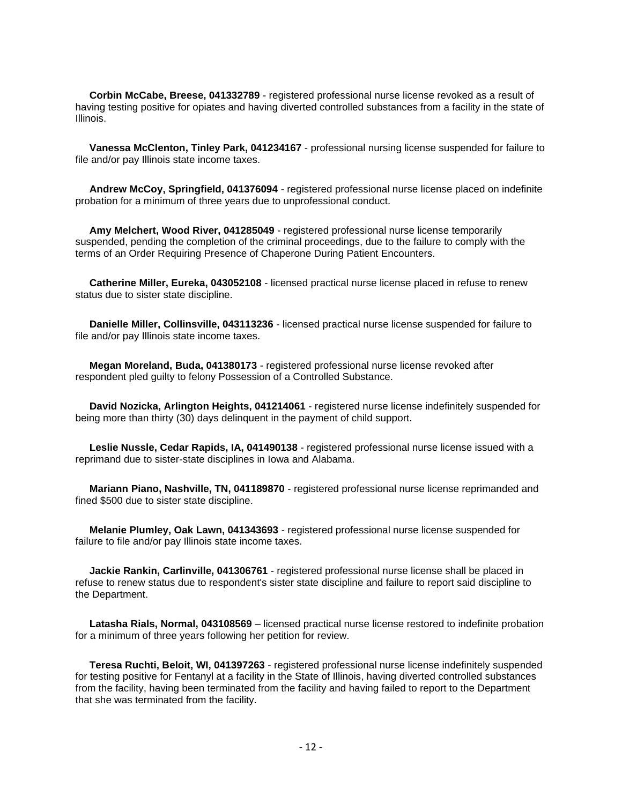**Corbin McCabe, Breese, 041332789** - registered professional nurse license revoked as a result of having testing positive for opiates and having diverted controlled substances from a facility in the state of Illinois.

 **Vanessa McClenton, Tinley Park, 041234167** - professional nursing license suspended for failure to file and/or pay Illinois state income taxes.

 **Andrew McCoy, Springfield, 041376094** - registered professional nurse license placed on indefinite probation for a minimum of three years due to unprofessional conduct.

 **Amy Melchert, Wood River, 041285049** - registered professional nurse license temporarily suspended, pending the completion of the criminal proceedings, due to the failure to comply with the terms of an Order Requiring Presence of Chaperone During Patient Encounters.

 **Catherine Miller, Eureka, 043052108** - licensed practical nurse license placed in refuse to renew status due to sister state discipline.

 **Danielle Miller, Collinsville, 043113236** - licensed practical nurse license suspended for failure to file and/or pay Illinois state income taxes.

 **Megan Moreland, Buda, 041380173** - registered professional nurse license revoked after respondent pled guilty to felony Possession of a Controlled Substance.

 **David Nozicka, Arlington Heights, 041214061** - registered nurse license indefinitely suspended for being more than thirty (30) days delinquent in the payment of child support.

 **Leslie Nussle, Cedar Rapids, IA, 041490138** - registered professional nurse license issued with a reprimand due to sister-state disciplines in Iowa and Alabama.

 **Mariann Piano, Nashville, TN, 041189870** - registered professional nurse license reprimanded and fined \$500 due to sister state discipline.

 **Melanie Plumley, Oak Lawn, 041343693** - registered professional nurse license suspended for failure to file and/or pay Illinois state income taxes.

 **Jackie Rankin, Carlinville, 041306761** - registered professional nurse license shall be placed in refuse to renew status due to respondent's sister state discipline and failure to report said discipline to the Department.

 **Latasha Rials, Normal, 043108569** – licensed practical nurse license restored to indefinite probation for a minimum of three years following her petition for review.

 **Teresa Ruchti, Beloit, WI, 041397263** - registered professional nurse license indefinitely suspended for testing positive for Fentanyl at a facility in the State of Illinois, having diverted controlled substances from the facility, having been terminated from the facility and having failed to report to the Department that she was terminated from the facility.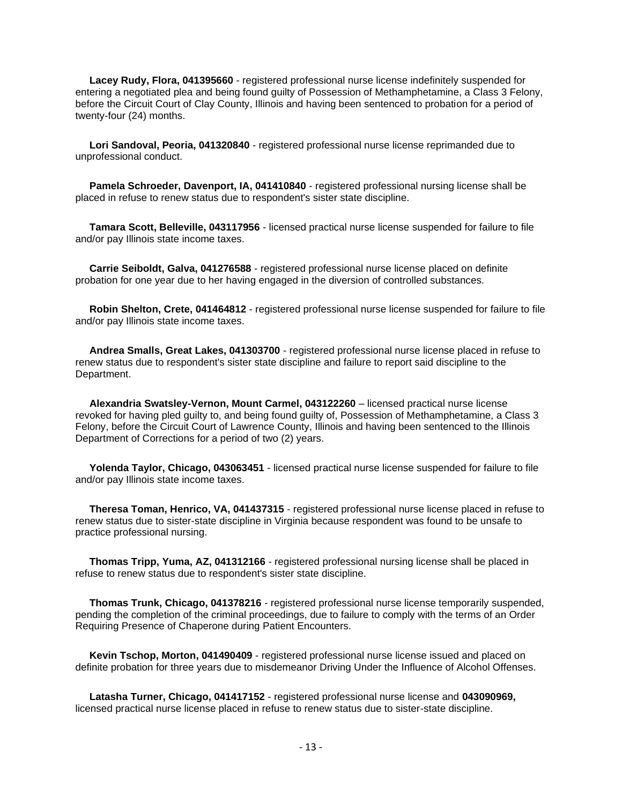**Lacey Rudy, Flora, 041395660** - registered professional nurse license indefinitely suspended for entering a negotiated plea and being found guilty of Possession of Methamphetamine, a Class 3 Felony, before the Circuit Court of Clay County, Illinois and having been sentenced to probation for a period of twenty-four (24) months.

 **Lori Sandoval, Peoria, 041320840** - registered professional nurse license reprimanded due to unprofessional conduct.

 **Pamela Schroeder, Davenport, IA, 041410840** - registered professional nursing license shall be placed in refuse to renew status due to respondent's sister state discipline.

 **Tamara Scott, Belleville, 043117956** - licensed practical nurse license suspended for failure to file and/or pay Illinois state income taxes.

 **Carrie Seiboldt, Galva, 041276588** - registered professional nurse license placed on definite probation for one year due to her having engaged in the diversion of controlled substances.

 **Robin Shelton, Crete, 041464812** - registered professional nurse license suspended for failure to file and/or pay Illinois state income taxes.

 **Andrea Smalls, Great Lakes, 041303700** - registered professional nurse license placed in refuse to renew status due to respondent's sister state discipline and failure to report said discipline to the Department.

 **Alexandria Swatsley-Vernon, Mount Carmel, 043122260** – licensed practical nurse license revoked for having pled guilty to, and being found guilty of, Possession of Methamphetamine, a Class 3 Felony, before the Circuit Court of Lawrence County, Illinois and having been sentenced to the Illinois Department of Corrections for a period of two (2) years.

 **Yolenda Taylor, Chicago, 043063451** - licensed practical nurse license suspended for failure to file and/or pay Illinois state income taxes.

 **Theresa Toman, Henrico, VA, 041437315** - registered professional nurse license placed in refuse to renew status due to sister-state discipline in Virginia because respondent was found to be unsafe to practice professional nursing.

 **Thomas Tripp, Yuma, AZ, 041312166** - registered professional nursing license shall be placed in refuse to renew status due to respondent's sister state discipline.

 **Thomas Trunk, Chicago, 041378216** - registered professional nurse license temporarily suspended, pending the completion of the criminal proceedings, due to failure to comply with the terms of an Order Requiring Presence of Chaperone during Patient Encounters.

 **Kevin Tschop, Morton, 041490409** - registered professional nurse license issued and placed on definite probation for three years due to misdemeanor Driving Under the Influence of Alcohol Offenses.

 **Latasha Turner, Chicago, 041417152** - registered professional nurse license and **043090969,** licensed practical nurse license placed in refuse to renew status due to sister-state discipline.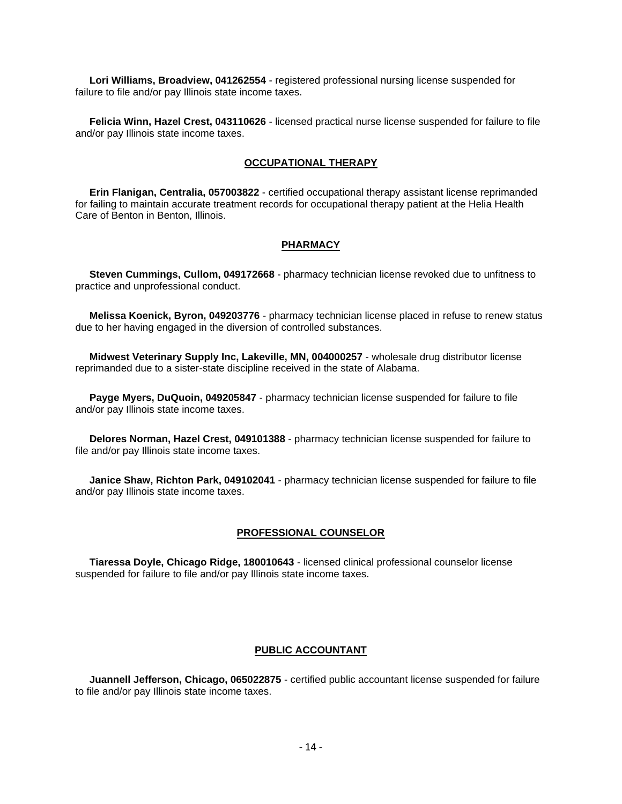**Lori Williams, Broadview, 041262554** - registered professional nursing license suspended for failure to file and/or pay Illinois state income taxes.

 **Felicia Winn, Hazel Crest, 043110626** - licensed practical nurse license suspended for failure to file and/or pay Illinois state income taxes.

# **OCCUPATIONAL THERAPY**

 **Erin Flanigan, Centralia, 057003822** - certified occupational therapy assistant license reprimanded for failing to maintain accurate treatment records for occupational therapy patient at the Helia Health Care of Benton in Benton, Illinois.

# **PHARMACY**

 **Steven Cummings, Cullom, 049172668** - pharmacy technician license revoked due to unfitness to practice and unprofessional conduct.

 **Melissa Koenick, Byron, 049203776** - pharmacy technician license placed in refuse to renew status due to her having engaged in the diversion of controlled substances.

 **Midwest Veterinary Supply Inc, Lakeville, MN, 004000257** - wholesale drug distributor license reprimanded due to a sister-state discipline received in the state of Alabama.

 **Payge Myers, DuQuoin, 049205847** - pharmacy technician license suspended for failure to file and/or pay Illinois state income taxes.

 **Delores Norman, Hazel Crest, 049101388** - pharmacy technician license suspended for failure to file and/or pay Illinois state income taxes.

 **Janice Shaw, Richton Park, 049102041** - pharmacy technician license suspended for failure to file and/or pay Illinois state income taxes.

#### **PROFESSIONAL COUNSELOR**

 **Tiaressa Doyle, Chicago Ridge, 180010643** - licensed clinical professional counselor license suspended for failure to file and/or pay Illinois state income taxes.

# **PUBLIC ACCOUNTANT**

 **Juannell Jefferson, Chicago, 065022875** - certified public accountant license suspended for failure to file and/or pay Illinois state income taxes.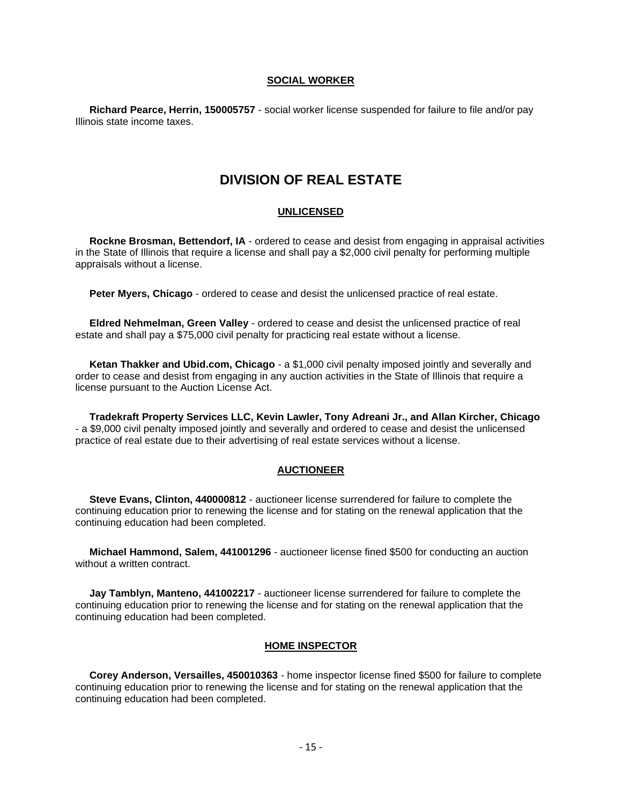# **SOCIAL WORKER**

 **Richard Pearce, Herrin, 150005757** - social worker license suspended for failure to file and/or pay Illinois state income taxes.

# **DIVISION OF REAL ESTATE**

# **UNLICENSED**

 **Rockne Brosman, Bettendorf, IA** - ordered to cease and desist from engaging in appraisal activities in the State of Illinois that require a license and shall pay a \$2,000 civil penalty for performing multiple appraisals without a license.

**Peter Myers, Chicago** - ordered to cease and desist the unlicensed practice of real estate.

 **Eldred Nehmelman, Green Valley** - ordered to cease and desist the unlicensed practice of real estate and shall pay a \$75,000 civil penalty for practicing real estate without a license.

 **Ketan Thakker and Ubid.com, Chicago** - a \$1,000 civil penalty imposed jointly and severally and order to cease and desist from engaging in any auction activities in the State of Illinois that require a license pursuant to the Auction License Act.

 **Tradekraft Property Services LLC, Kevin Lawler, Tony Adreani Jr., and Allan Kircher, Chicago** - a \$9,000 civil penalty imposed jointly and severally and ordered to cease and desist the unlicensed practice of real estate due to their advertising of real estate services without a license.

# **AUCTIONEER**

 **Steve Evans, Clinton, 440000812** - auctioneer license surrendered for failure to complete the continuing education prior to renewing the license and for stating on the renewal application that the continuing education had been completed.

 **Michael Hammond, Salem, 441001296** - auctioneer license fined \$500 for conducting an auction without a written contract.

 **Jay Tamblyn, Manteno, 441002217** - auctioneer license surrendered for failure to complete the continuing education prior to renewing the license and for stating on the renewal application that the continuing education had been completed.

#### **HOME INSPECTOR**

 **Corey Anderson, Versailles, 450010363** - home inspector license fined \$500 for failure to complete continuing education prior to renewing the license and for stating on the renewal application that the continuing education had been completed.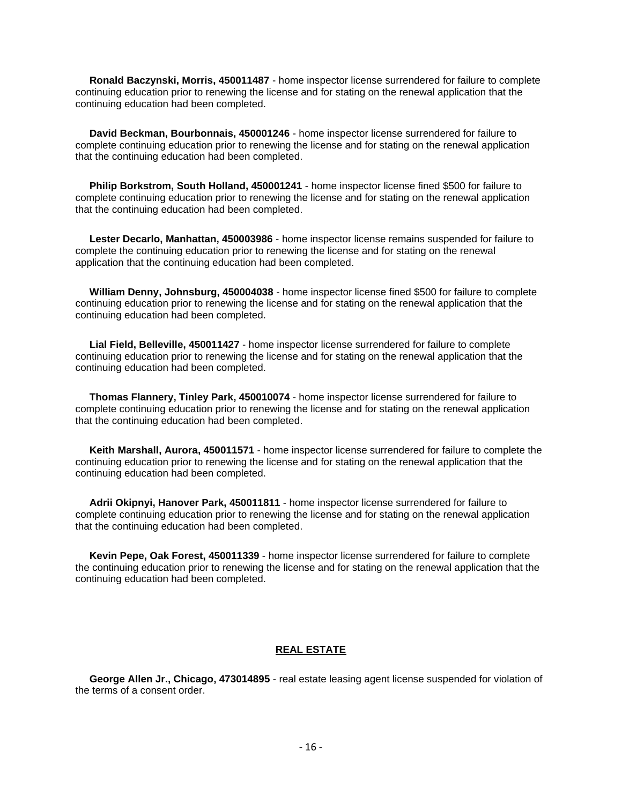**Ronald Baczynski, Morris, 450011487** - home inspector license surrendered for failure to complete continuing education prior to renewing the license and for stating on the renewal application that the continuing education had been completed.

 **David Beckman, Bourbonnais, 450001246** - home inspector license surrendered for failure to complete continuing education prior to renewing the license and for stating on the renewal application that the continuing education had been completed.

 **Philip Borkstrom, South Holland, 450001241** - home inspector license fined \$500 for failure to complete continuing education prior to renewing the license and for stating on the renewal application that the continuing education had been completed.

 **Lester Decarlo, Manhattan, 450003986** - home inspector license remains suspended for failure to complete the continuing education prior to renewing the license and for stating on the renewal application that the continuing education had been completed.

 **William Denny, Johnsburg, 450004038** - home inspector license fined \$500 for failure to complete continuing education prior to renewing the license and for stating on the renewal application that the continuing education had been completed.

 **Lial Field, Belleville, 450011427** - home inspector license surrendered for failure to complete continuing education prior to renewing the license and for stating on the renewal application that the continuing education had been completed.

 **Thomas Flannery, Tinley Park, 450010074** - home inspector license surrendered for failure to complete continuing education prior to renewing the license and for stating on the renewal application that the continuing education had been completed.

 **Keith Marshall, Aurora, 450011571** - home inspector license surrendered for failure to complete the continuing education prior to renewing the license and for stating on the renewal application that the continuing education had been completed.

 **Adrii Okipnyi, Hanover Park, 450011811** - home inspector license surrendered for failure to complete continuing education prior to renewing the license and for stating on the renewal application that the continuing education had been completed.

 **Kevin Pepe, Oak Forest, 450011339** - home inspector license surrendered for failure to complete the continuing education prior to renewing the license and for stating on the renewal application that the continuing education had been completed.

# **REAL ESTATE**

 **George Allen Jr., Chicago, 473014895** - real estate leasing agent license suspended for violation of the terms of a consent order.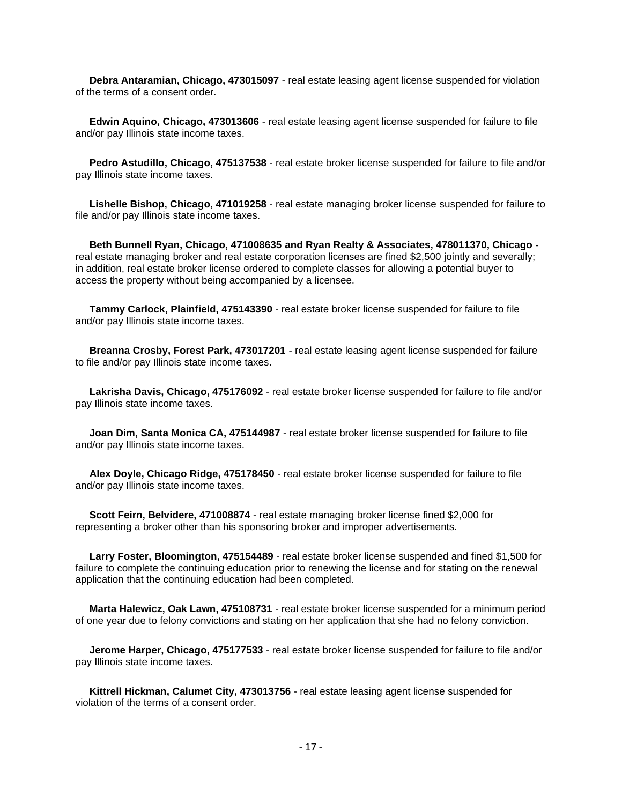**Debra Antaramian, Chicago, 473015097** - real estate leasing agent license suspended for violation of the terms of a consent order.

 **Edwin Aquino, Chicago, 473013606** - real estate leasing agent license suspended for failure to file and/or pay Illinois state income taxes.

 **Pedro Astudillo, Chicago, 475137538** - real estate broker license suspended for failure to file and/or pay Illinois state income taxes.

 **Lishelle Bishop, Chicago, 471019258** - real estate managing broker license suspended for failure to file and/or pay Illinois state income taxes.

 **Beth Bunnell Ryan, Chicago, 471008635 and Ryan Realty & Associates, 478011370, Chicago**  real estate managing broker and real estate corporation licenses are fined \$2,500 jointly and severally; in addition, real estate broker license ordered to complete classes for allowing a potential buyer to access the property without being accompanied by a licensee.

 **Tammy Carlock, Plainfield, 475143390** - real estate broker license suspended for failure to file and/or pay Illinois state income taxes.

 **Breanna Crosby, Forest Park, 473017201** - real estate leasing agent license suspended for failure to file and/or pay Illinois state income taxes.

 **Lakrisha Davis, Chicago, 475176092** - real estate broker license suspended for failure to file and/or pay Illinois state income taxes.

 **Joan Dim, Santa Monica CA, 475144987** - real estate broker license suspended for failure to file and/or pay Illinois state income taxes.

 **Alex Doyle, Chicago Ridge, 475178450** - real estate broker license suspended for failure to file and/or pay Illinois state income taxes.

 **Scott Feirn, Belvidere, 471008874** - real estate managing broker license fined \$2,000 for representing a broker other than his sponsoring broker and improper advertisements.

 **Larry Foster, Bloomington, 475154489** - real estate broker license suspended and fined \$1,500 for failure to complete the continuing education prior to renewing the license and for stating on the renewal application that the continuing education had been completed.

 **Marta Halewicz, Oak Lawn, 475108731** - real estate broker license suspended for a minimum period of one year due to felony convictions and stating on her application that she had no felony conviction.

 **Jerome Harper, Chicago, 475177533** - real estate broker license suspended for failure to file and/or pay Illinois state income taxes.

 **Kittrell Hickman, Calumet City, 473013756** - real estate leasing agent license suspended for violation of the terms of a consent order.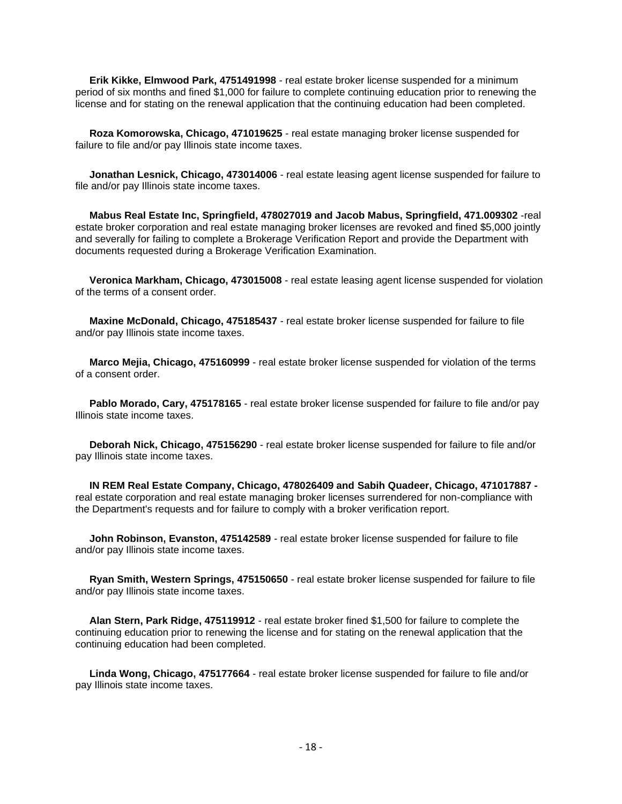**Erik Kikke, Elmwood Park, 4751491998** - real estate broker license suspended for a minimum period of six months and fined \$1,000 for failure to complete continuing education prior to renewing the license and for stating on the renewal application that the continuing education had been completed.

 **Roza Komorowska, Chicago, 471019625** - real estate managing broker license suspended for failure to file and/or pay Illinois state income taxes.

 **Jonathan Lesnick, Chicago, 473014006** - real estate leasing agent license suspended for failure to file and/or pay Illinois state income taxes.

 **Mabus Real Estate Inc, Springfield, 478027019 and Jacob Mabus, Springfield, 471.009302** -real estate broker corporation and real estate managing broker licenses are revoked and fined \$5,000 jointly and severally for failing to complete a Brokerage Verification Report and provide the Department with documents requested during a Brokerage Verification Examination.

 **Veronica Markham, Chicago, 473015008** - real estate leasing agent license suspended for violation of the terms of a consent order.

 **Maxine McDonald, Chicago, 475185437** - real estate broker license suspended for failure to file and/or pay Illinois state income taxes.

 **Marco Mejia, Chicago, 475160999** - real estate broker license suspended for violation of the terms of a consent order.

 **Pablo Morado, Cary, 475178165** - real estate broker license suspended for failure to file and/or pay Illinois state income taxes.

 **Deborah Nick, Chicago, 475156290** - real estate broker license suspended for failure to file and/or pay Illinois state income taxes.

 **IN REM Real Estate Company, Chicago, 478026409 and Sabih Quadeer, Chicago, 471017887**  real estate corporation and real estate managing broker licenses surrendered for non-compliance with the Department's requests and for failure to comply with a broker verification report.

 **John Robinson, Evanston, 475142589** - real estate broker license suspended for failure to file and/or pay Illinois state income taxes.

 **Ryan Smith, Western Springs, 475150650** - real estate broker license suspended for failure to file and/or pay Illinois state income taxes.

 **Alan Stern, Park Ridge, 475119912** - real estate broker fined \$1,500 for failure to complete the continuing education prior to renewing the license and for stating on the renewal application that the continuing education had been completed.

 **Linda Wong, Chicago, 475177664** - real estate broker license suspended for failure to file and/or pay Illinois state income taxes.